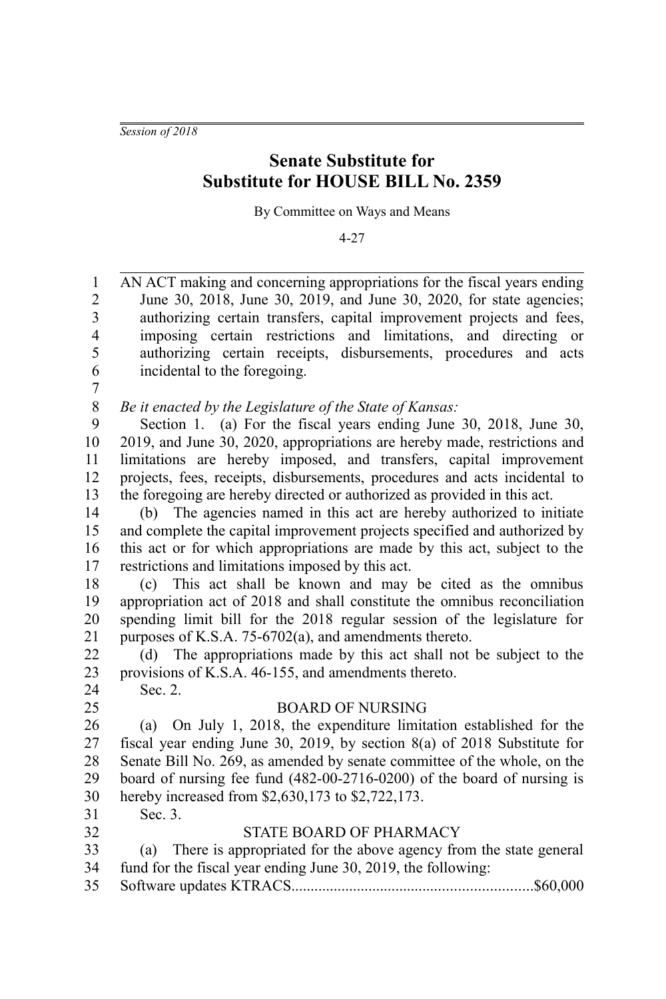*Session of 2018*

# **Senate Substitute for Substitute for HOUSE BILL No. 2359**

By Committee on Ways and Means

4-27

AN ACT making and concerning appropriations for the fiscal years ending June 30, 2018, June 30, 2019, and June 30, 2020, for state agencies; authorizing certain transfers, capital improvement projects and fees, imposing certain restrictions and limitations, and directing or authorizing certain receipts, disbursements, procedures and acts incidental to the foregoing. 1 2 3 4 5 6

7

*Be it enacted by the Legislature of the State of Kansas:* 8

Section 1. (a) For the fiscal years ending June 30, 2018, June 30, 2019, and June 30, 2020, appropriations are hereby made, restrictions and limitations are hereby imposed, and transfers, capital improvement projects, fees, receipts, disbursements, procedures and acts incidental to the foregoing are hereby directed or authorized as provided in this act. 9 10 11 12 13

(b) The agencies named in this act are hereby authorized to initiate and complete the capital improvement projects specified and authorized by this act or for which appropriations are made by this act, subject to the restrictions and limitations imposed by this act. 14 15 16 17

(c) This act shall be known and may be cited as the omnibus appropriation act of 2018 and shall constitute the omnibus reconciliation spending limit bill for the 2018 regular session of the legislature for purposes of K.S.A. 75-6702(a), and amendments thereto. 18 19 20 21

(d) The appropriations made by this act shall not be subject to the provisions of K.S.A. 46-155, and amendments thereto. Sec. 2. 22 23 24

25

### BOARD OF NURSING

(a) On July 1, 2018, the expenditure limitation established for the fiscal year ending June 30, 2019, by section 8(a) of 2018 Substitute for Senate Bill No. 269, as amended by senate committee of the whole, on the board of nursing fee fund (482-00-2716-0200) of the board of nursing is hereby increased from \$2,630,173 to \$2,722,173. 26 27 28 29 30

Sec. 3. 31 32

# STATE BOARD OF PHARMACY

- (a) There is appropriated for the above agency from the state general fund for the fiscal year ending June 30, 2019, the following: 33 34
- Software updates KTRACS..............................................................\$60,000 35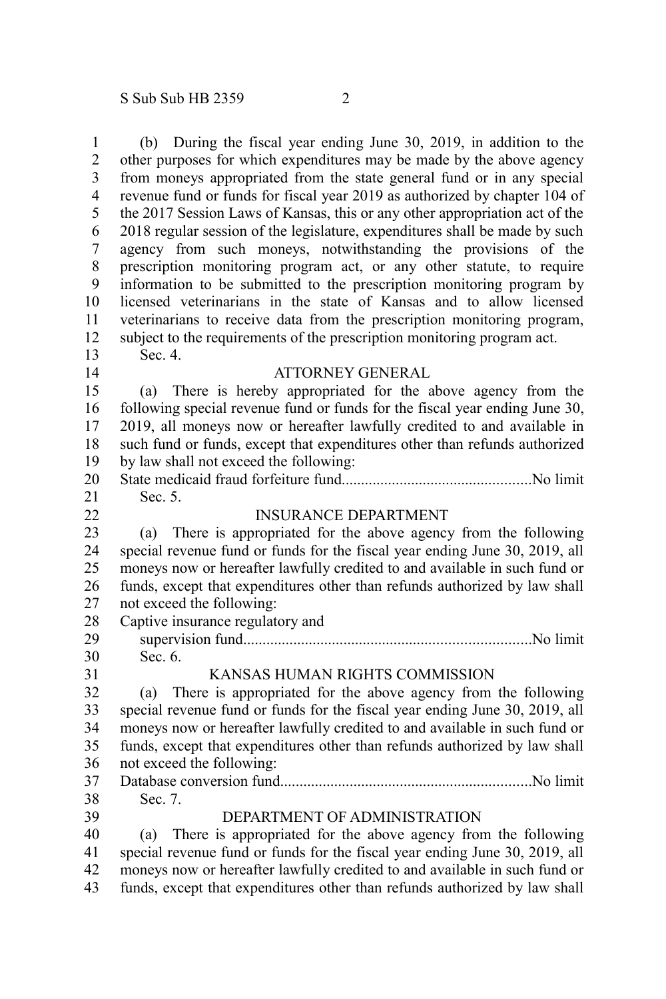1

(b) During the fiscal year ending June 30, 2019, in addition to the other purposes for which expenditures may be made by the above agency from moneys appropriated from the state general fund or in any special revenue fund or funds for fiscal year 2019 as authorized by chapter 104 of the 2017 Session Laws of Kansas, this or any other appropriation act of the 2018 regular session of the legislature, expenditures shall be made by such agency from such moneys, notwithstanding the provisions of the prescription monitoring program act, or any other statute, to require information to be submitted to the prescription monitoring program by licensed veterinarians in the state of Kansas and to allow licensed veterinarians to receive data from the prescription monitoring program, subject to the requirements of the prescription monitoring program act. Sec. 4. ATTORNEY GENERAL (a) There is hereby appropriated for the above agency from the following special revenue fund or funds for the fiscal year ending June 30, 2019, all moneys now or hereafter lawfully credited to and available in such fund or funds, except that expenditures other than refunds authorized by law shall not exceed the following: State medicaid fraud forfeiture fund.................................................No limit Sec. 5. INSURANCE DEPARTMENT (a) There is appropriated for the above agency from the following special revenue fund or funds for the fiscal year ending June 30, 2019, all moneys now or hereafter lawfully credited to and available in such fund or funds, except that expenditures other than refunds authorized by law shall not exceed the following: Captive insurance regulatory and supervision fund..........................................................................No limit Sec. 6. KANSAS HUMAN RIGHTS COMMISSION (a) There is appropriated for the above agency from the following special revenue fund or funds for the fiscal year ending June 30, 2019, all moneys now or hereafter lawfully credited to and available in such fund or funds, except that expenditures other than refunds authorized by law shall not exceed the following: Database conversion fund.................................................................No limit Sec. 7. DEPARTMENT OF ADMINISTRATION (a) There is appropriated for the above agency from the following special revenue fund or funds for the fiscal year ending June 30, 2019, all moneys now or hereafter lawfully credited to and available in such fund or 2 3 4 5 6 7 8 9 10 11 12 13 14 15 16 17 18 19 20 21 22 23 24 25 26 27 28 29 30 31 32 33 34 35 36 37 38 39 40 41 42

funds, except that expenditures other than refunds authorized by law shall 43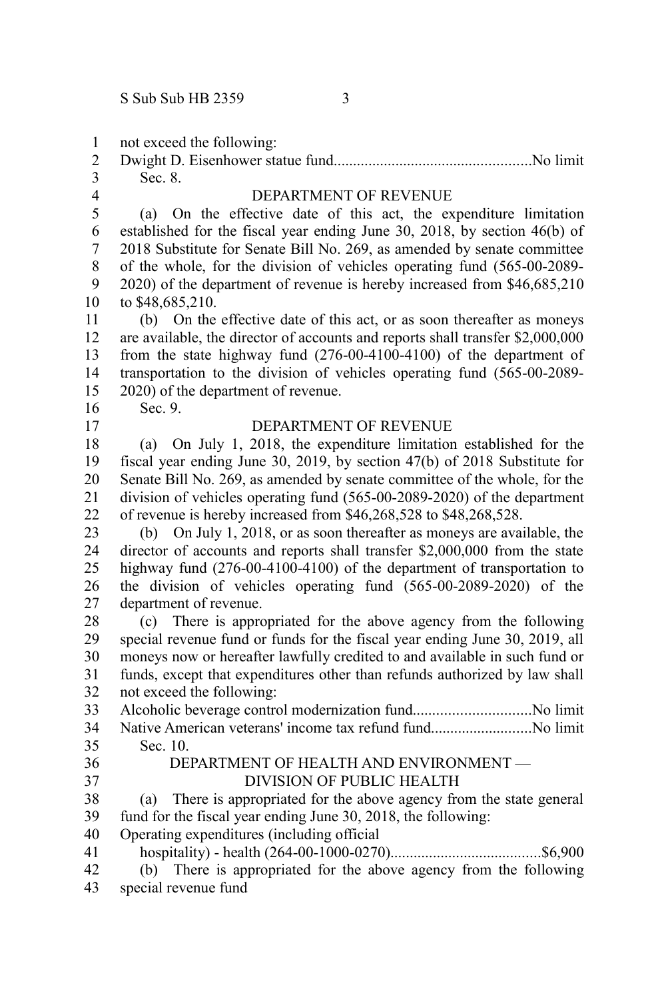not exceed the following: 1

| 3 Sec. 8. |  |
|-----------|--|

4

# DEPARTMENT OF REVENUE

(a) On the effective date of this act, the expenditure limitation established for the fiscal year ending June 30, 2018, by section 46(b) of 2018 Substitute for Senate Bill No. 269, as amended by senate committee of the whole, for the division of vehicles operating fund (565-00-2089- 2020) of the department of revenue is hereby increased from \$46,685,210 to \$48,685,210. 5 6 7 8 9 10

(b) On the effective date of this act, or as soon thereafter as moneys are available, the director of accounts and reports shall transfer \$2,000,000 from the state highway fund (276-00-4100-4100) of the department of transportation to the division of vehicles operating fund (565-00-2089- 2020) of the department of revenue. 11 12 13 14 15

16 17 Sec. 9.

## DEPARTMENT OF REVENUE

(a) On July 1, 2018, the expenditure limitation established for the fiscal year ending June 30, 2019, by section 47(b) of 2018 Substitute for Senate Bill No. 269, as amended by senate committee of the whole, for the division of vehicles operating fund (565-00-2089-2020) of the department of revenue is hereby increased from \$46,268,528 to \$48,268,528. 18 19 20 21 22

(b) On July 1, 2018, or as soon thereafter as moneys are available, the director of accounts and reports shall transfer \$2,000,000 from the state highway fund (276-00-4100-4100) of the department of transportation to the division of vehicles operating fund (565-00-2089-2020) of the department of revenue. 23 24 25 26 27

(c) There is appropriated for the above agency from the following special revenue fund or funds for the fiscal year ending June 30, 2019, all moneys now or hereafter lawfully credited to and available in such fund or funds, except that expenditures other than refunds authorized by law shall not exceed the following: 28 29 30 31 32

Alcoholic beverage control modernization fund..............................No limit Native American veterans' income tax refund fund..........................No limit Sec. 10. 33 34 35

36 37

#### DEPARTMENT OF HEALTH AND ENVIRONMENT — DIVISION OF PUBLIC HEALTH

(a) There is appropriated for the above agency from the state general fund for the fiscal year ending June 30, 2018, the following: 38 39

- Operating expenditures (including official 40
- hospitality) health (264-00-1000-0270).......................................\$6,900 41
- (b) There is appropriated for the above agency from the following special revenue fund 42 43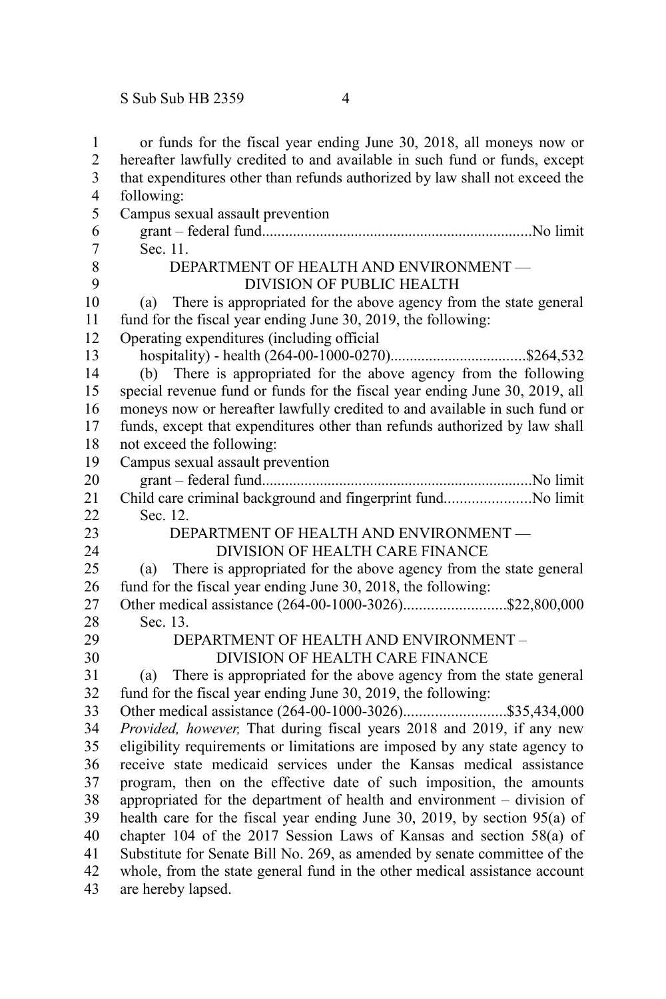| $\mathbf{1}$   | or funds for the fiscal year ending June 30, 2018, all moneys now or                             |  |  |
|----------------|--------------------------------------------------------------------------------------------------|--|--|
| $\overline{c}$ | hereafter lawfully credited to and available in such fund or funds, except                       |  |  |
| 3              | that expenditures other than refunds authorized by law shall not exceed the                      |  |  |
| $\overline{4}$ | following:                                                                                       |  |  |
| 5              | Campus sexual assault prevention                                                                 |  |  |
| 6              |                                                                                                  |  |  |
| $\overline{7}$ | Sec. 11.                                                                                         |  |  |
| 8              | DEPARTMENT OF HEALTH AND ENVIRONMENT -                                                           |  |  |
| 9              | DIVISION OF PUBLIC HEALTH                                                                        |  |  |
| 10             | There is appropriated for the above agency from the state general<br>(a)                         |  |  |
| 11             | fund for the fiscal year ending June 30, 2019, the following:                                    |  |  |
| 12             | Operating expenditures (including official                                                       |  |  |
| 13             |                                                                                                  |  |  |
| 14             | (b) There is appropriated for the above agency from the following                                |  |  |
| 15             | special revenue fund or funds for the fiscal year ending June 30, 2019, all                      |  |  |
| 16             | moneys now or hereafter lawfully credited to and available in such fund or                       |  |  |
| 17             | funds, except that expenditures other than refunds authorized by law shall                       |  |  |
| 18             | not exceed the following:                                                                        |  |  |
| 19             | Campus sexual assault prevention                                                                 |  |  |
| 20             |                                                                                                  |  |  |
| 21             | Child care criminal background and fingerprint fundNo limit                                      |  |  |
| 22             | Sec. 12.                                                                                         |  |  |
| 23             | DEPARTMENT OF HEALTH AND ENVIRONMENT -                                                           |  |  |
| 24             | DIVISION OF HEALTH CARE FINANCE                                                                  |  |  |
| 25             | There is appropriated for the above agency from the state general<br>(a)                         |  |  |
| 26             | fund for the fiscal year ending June 30, 2018, the following:                                    |  |  |
| 27             | Other medical assistance (264-00-1000-3026)\$22,800,000                                          |  |  |
| 28             | Sec. 13.                                                                                         |  |  |
| 29             | DEPARTMENT OF HEALTH AND ENVIRONMENT -                                                           |  |  |
| 30             | DIVISION OF HEALTH CARE FINANCE                                                                  |  |  |
| 31             | There is appropriated for the above agency from the state general<br>(a)                         |  |  |
| 32             | fund for the fiscal year ending June 30, 2019, the following:                                    |  |  |
| 33             |                                                                                                  |  |  |
| 34             | Provided, however, That during fiscal years 2018 and 2019, if any new                            |  |  |
| 35             | eligibility requirements or limitations are imposed by any state agency to                       |  |  |
| 36             | receive state medicaid services under the Kansas medical assistance                              |  |  |
| 37             | program, then on the effective date of such imposition, the amounts                              |  |  |
| 38             | appropriated for the department of health and environment – division of                          |  |  |
| 39             | health care for the fiscal year ending June 30, 2019, by section 95(a) of                        |  |  |
| 40             | chapter 104 of the 2017 Session Laws of Kansas and section 58(a) of                              |  |  |
| 41             |                                                                                                  |  |  |
|                | Substitute for Senate Bill No. 269, as amended by senate committee of the                        |  |  |
| 42<br>43       | whole, from the state general fund in the other medical assistance account<br>are hereby lapsed. |  |  |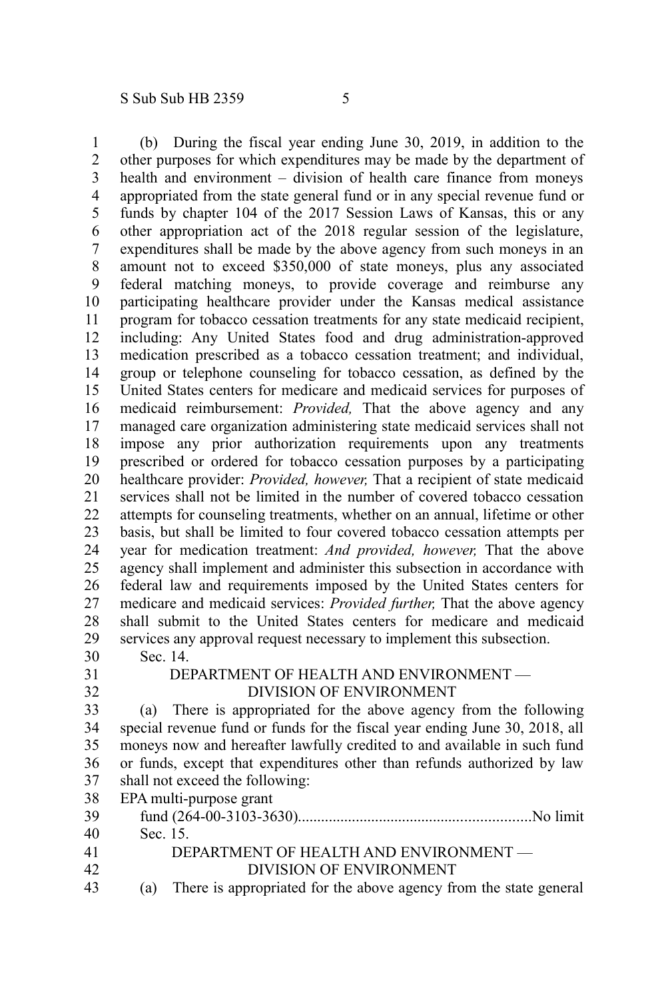(b) During the fiscal year ending June 30, 2019, in addition to the other purposes for which expenditures may be made by the department of health and environment – division of health care finance from moneys appropriated from the state general fund or in any special revenue fund or funds by chapter 104 of the 2017 Session Laws of Kansas, this or any other appropriation act of the 2018 regular session of the legislature, expenditures shall be made by the above agency from such moneys in an amount not to exceed \$350,000 of state moneys, plus any associated federal matching moneys, to provide coverage and reimburse any participating healthcare provider under the Kansas medical assistance program for tobacco cessation treatments for any state medicaid recipient, including: Any United States food and drug administration-approved medication prescribed as a tobacco cessation treatment; and individual, group or telephone counseling for tobacco cessation, as defined by the United States centers for medicare and medicaid services for purposes of medicaid reimbursement: *Provided,* That the above agency and any managed care organization administering state medicaid services shall not impose any prior authorization requirements upon any treatments prescribed or ordered for tobacco cessation purposes by a participating healthcare provider: *Provided, however,* That a recipient of state medicaid services shall not be limited in the number of covered tobacco cessation attempts for counseling treatments, whether on an annual, lifetime or other basis, but shall be limited to four covered tobacco cessation attempts per year for medication treatment: *And provided, however,* That the above agency shall implement and administer this subsection in accordance with federal law and requirements imposed by the United States centers for medicare and medicaid services: *Provided further,* That the above agency shall submit to the United States centers for medicare and medicaid services any approval request necessary to implement this subsection. Sec. 14. DEPARTMENT OF HEALTH AND ENVIRONMENT — DIVISION OF ENVIRONMENT (a) There is appropriated for the above agency from the following special revenue fund or funds for the fiscal year ending June 30, 2018, all moneys now and hereafter lawfully credited to and available in such fund or funds, except that expenditures other than refunds authorized by law shall not exceed the following: EPA multi-purpose grant fund (264-00-3103-3630)............................................................No limit Sec. 15. DEPARTMENT OF HEALTH AND ENVIRONMENT — DIVISION OF ENVIRONMENT 1 2 3 4 5 6 7 8 9 10 11 12 13 14 15 16 17 18 19 20 21 22 23 24 25 26 27 28 29 30 31 32 33 34 35 36 37 38 39 40 41 42

(a) There is appropriated for the above agency from the state general 43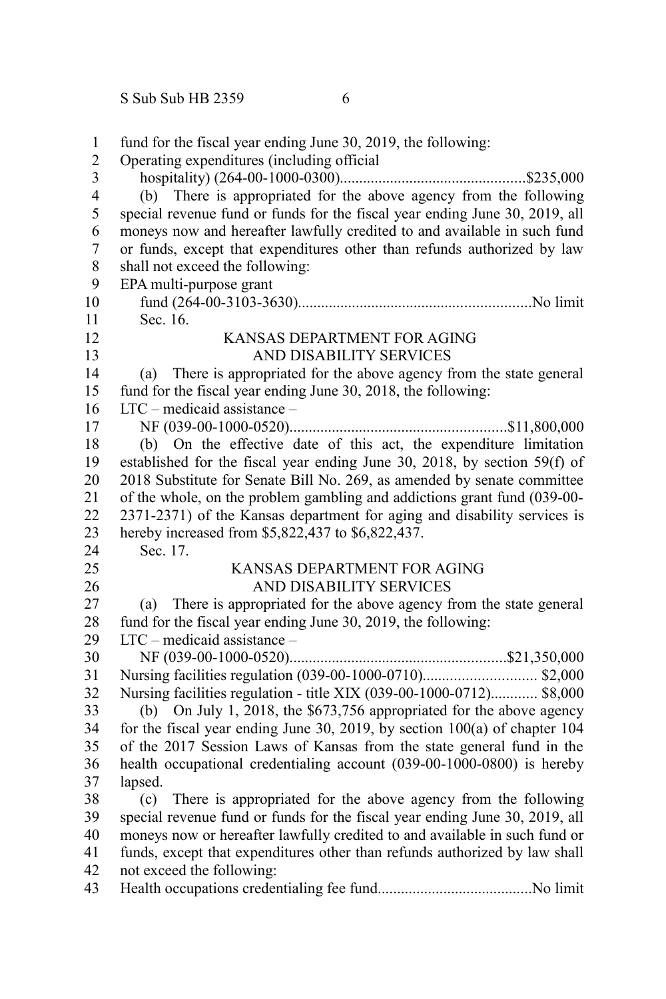| $\mathbf{1}$<br>$\overline{c}$ | fund for the fiscal year ending June 30, 2019, the following:<br>Operating expenditures (including official |
|--------------------------------|-------------------------------------------------------------------------------------------------------------|
| 3                              |                                                                                                             |
| $\overline{4}$                 | (b) There is appropriated for the above agency from the following                                           |
| 5                              | special revenue fund or funds for the fiscal year ending June 30, 2019, all                                 |
| 6                              | moneys now and hereafter lawfully credited to and available in such fund                                    |
| $\overline{7}$                 | or funds, except that expenditures other than refunds authorized by law                                     |
| 8                              | shall not exceed the following:                                                                             |
| 9                              | EPA multi-purpose grant                                                                                     |
| 10                             |                                                                                                             |
| 11                             | Sec. 16.                                                                                                    |
| 12                             | KANSAS DEPARTMENT FOR AGING                                                                                 |
| 13                             | AND DISABILITY SERVICES                                                                                     |
| 14                             | (a) There is appropriated for the above agency from the state general                                       |
| 15                             | fund for the fiscal year ending June 30, 2018, the following:                                               |
| 16                             | $LTC$ – medicaid assistance –                                                                               |
| 17                             |                                                                                                             |
| 18                             | (b) On the effective date of this act, the expenditure limitation                                           |
| 19                             | established for the fiscal year ending June 30, 2018, by section 59(f) of                                   |
| 20                             | 2018 Substitute for Senate Bill No. 269, as amended by senate committee                                     |
| 21                             | of the whole, on the problem gambling and addictions grant fund (039-00-                                    |
| 22                             | 2371-2371) of the Kansas department for aging and disability services is                                    |
| 23                             | hereby increased from \$5,822,437 to \$6,822,437.                                                           |
| 24                             | Sec. 17.                                                                                                    |
| 25                             | KANSAS DEPARTMENT FOR AGING                                                                                 |
| 26                             | AND DISABILITY SERVICES                                                                                     |
| 27                             | There is appropriated for the above agency from the state general<br>(a)                                    |
| 28                             | fund for the fiscal year ending June 30, 2019, the following:                                               |
| 29                             | $LTC$ – medicaid assistance –                                                                               |
| 30                             |                                                                                                             |
| 31                             |                                                                                                             |
| 32                             | Nursing facilities regulation - title XIX (039-00-1000-0712) \$8,000                                        |
| 33                             | (b) On July 1, 2018, the $$673,756$ appropriated for the above agency                                       |
| 34                             | for the fiscal year ending June 30, 2019, by section $100(a)$ of chapter 104                                |
| 35                             | of the 2017 Session Laws of Kansas from the state general fund in the                                       |
| 36                             | health occupational credentialing account (039-00-1000-0800) is hereby                                      |
| 37                             | lapsed.                                                                                                     |
| 38                             | There is appropriated for the above agency from the following<br>(c)                                        |
| 39                             | special revenue fund or funds for the fiscal year ending June 30, 2019, all                                 |
| 40                             | moneys now or hereafter lawfully credited to and available in such fund or                                  |
| 41                             | funds, except that expenditures other than refunds authorized by law shall                                  |
| 42                             | not exceed the following:                                                                                   |
| 43                             |                                                                                                             |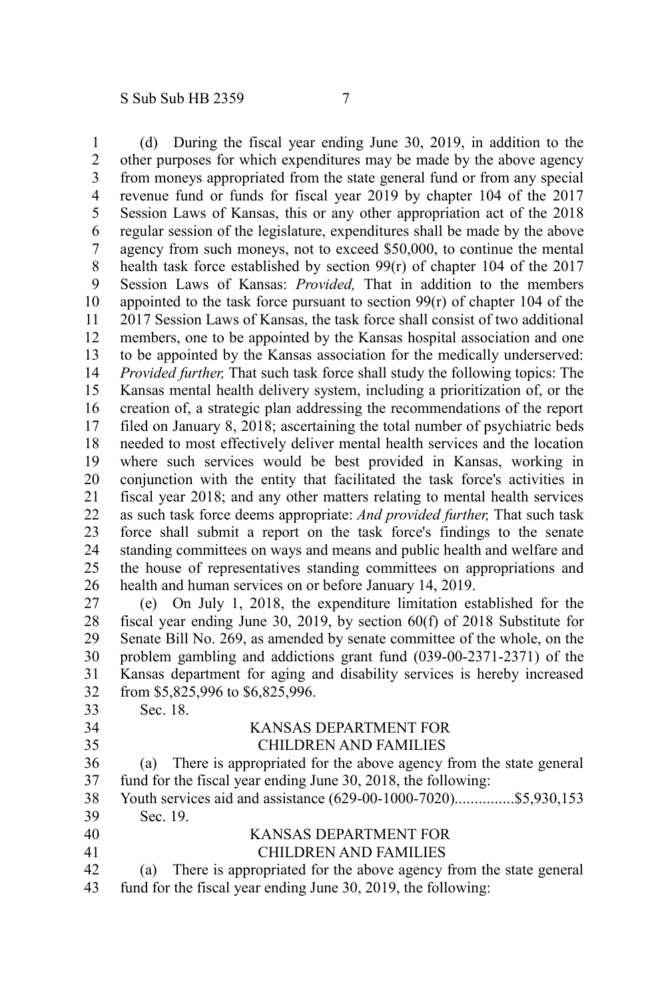(d) During the fiscal year ending June 30, 2019, in addition to the other purposes for which expenditures may be made by the above agency from moneys appropriated from the state general fund or from any special revenue fund or funds for fiscal year 2019 by chapter 104 of the 2017 Session Laws of Kansas, this or any other appropriation act of the 2018 regular session of the legislature, expenditures shall be made by the above agency from such moneys, not to exceed \$50,000, to continue the mental health task force established by section 99(r) of chapter 104 of the 2017 Session Laws of Kansas: *Provided,* That in addition to the members appointed to the task force pursuant to section  $99(r)$  of chapter 104 of the 2017 Session Laws of Kansas, the task force shall consist of two additional members, one to be appointed by the Kansas hospital association and one to be appointed by the Kansas association for the medically underserved: *Provided further,* That such task force shall study the following topics: The Kansas mental health delivery system, including a prioritization of, or the creation of, a strategic plan addressing the recommendations of the report filed on January 8, 2018; ascertaining the total number of psychiatric beds needed to most effectively deliver mental health services and the location where such services would be best provided in Kansas, working in conjunction with the entity that facilitated the task force's activities in fiscal year 2018; and any other matters relating to mental health services as such task force deems appropriate: *And provided further,* That such task force shall submit a report on the task force's findings to the senate standing committees on ways and means and public health and welfare and the house of representatives standing committees on appropriations and health and human services on or before January 14, 2019. (e) On July 1, 2018, the expenditure limitation established for the fiscal year ending June 30, 2019, by section 60(f) of 2018 Substitute for Senate Bill No. 269, as amended by senate committee of the whole, on the 1 2 3 4 5 6 7 8 9 10 11 12 13 14 15 16 17 18 19 20 21 22 23 24 25 26 27 28 29

problem gambling and addictions grant fund (039-00-2371-2371) of the Kansas department for aging and disability services is hereby increased from \$5,825,996 to \$6,825,996. 30 31 32

33

34 35 Sec. 18.

#### KANSAS DEPARTMENT FOR CHILDREN AND FAMILIES

(a) There is appropriated for the above agency from the state general fund for the fiscal year ending June 30, 2018, the following: 36 37

Youth services aid and assistance (629-00-1000-7020)................\$5,930,153 Sec. 19. 38 39

#### KANSAS DEPARTMENT FOR CHILDREN AND FAMILIES 40 41

(a) There is appropriated for the above agency from the state general fund for the fiscal year ending June 30, 2019, the following: 42 43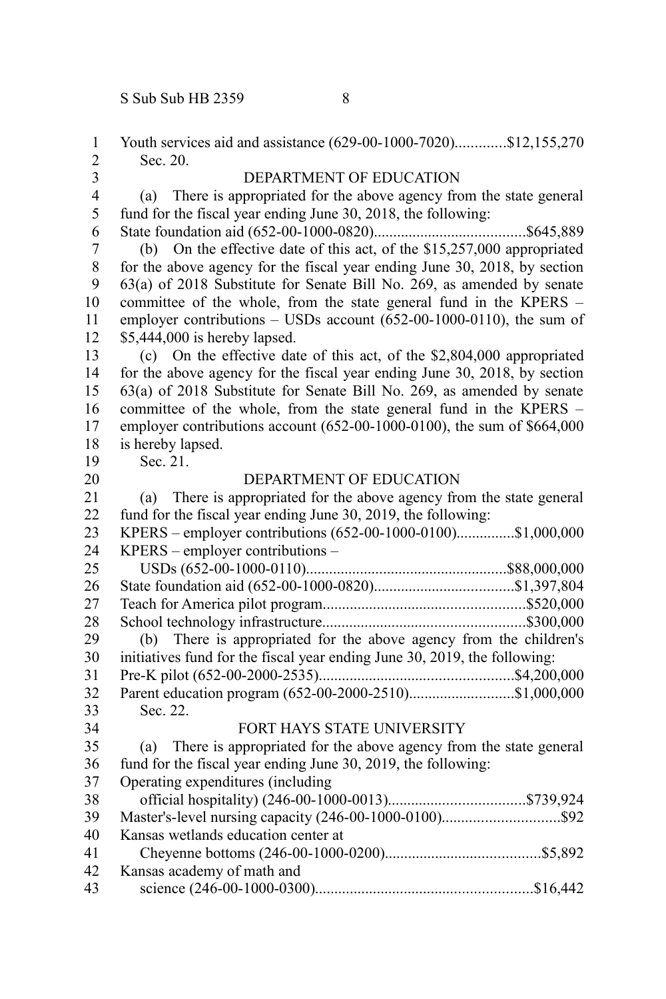| 1                       | Youth services aid and assistance (629-00-1000-7020)\$12,155,270                 |
|-------------------------|----------------------------------------------------------------------------------|
| $\overline{2}$          | Sec. 20.                                                                         |
| $\overline{\mathbf{3}}$ | DEPARTMENT OF EDUCATION                                                          |
| $\overline{\mathbf{4}}$ | There is appropriated for the above agency from the state general<br>(a)         |
| 5                       | fund for the fiscal year ending June 30, 2018, the following:                    |
| 6                       |                                                                                  |
| $\overline{7}$          | On the effective date of this act, of the \$15,257,000 appropriated<br>(b)       |
| $\,$ 8 $\,$             | for the above agency for the fiscal year ending June 30, 2018, by section        |
| 9                       | 63(a) of 2018 Substitute for Senate Bill No. 269, as amended by senate           |
| 10                      | committee of the whole, from the state general fund in the KPERS -               |
| 11                      | employer contributions $-$ USDs account (652-00-1000-0110), the sum of           |
| 12                      | \$5,444,000 is hereby lapsed.                                                    |
| 13                      | (c) On the effective date of this act, of the $$2,804,000$ appropriated          |
| 14                      | for the above agency for the fiscal year ending June 30, 2018, by section        |
| 15                      | 63(a) of 2018 Substitute for Senate Bill No. 269, as amended by senate           |
| 16                      | committee of the whole, from the state general fund in the KPERS -               |
| 17                      | employer contributions account (652-00-1000-0100), the sum of \$664,000          |
| 18                      | is hereby lapsed.                                                                |
| 19                      | Sec. 21.                                                                         |
| 20                      | DEPARTMENT OF EDUCATION                                                          |
| 21<br>22                | There is appropriated for the above agency from the state general<br>(a)         |
|                         | fund for the fiscal year ending June 30, 2019, the following:                    |
| 23<br>24                | KPERS - employer contributions (652-00-1000-0100)\$1,000,000                     |
| 25                      | KPERS - employer contributions -                                                 |
|                         |                                                                                  |
| 26<br>27                |                                                                                  |
|                         |                                                                                  |
| 28<br>29                | There is appropriated for the above agency from the children's                   |
| 30                      | (b)<br>initiatives fund for the fiscal year ending June 30, 2019, the following: |
| 31                      |                                                                                  |
| 32                      | Parent education program (652-00-2000-2510)\$1,000,000                           |
| 33                      | Sec. 22.                                                                         |
| 34                      | FORT HAYS STATE UNIVERSITY                                                       |
| 35                      | There is appropriated for the above agency from the state general<br>(a)         |
| 36                      | fund for the fiscal year ending June 30, 2019, the following:                    |
| 37                      | Operating expenditures (including                                                |
| 38                      |                                                                                  |
| 39                      |                                                                                  |
| 40                      | Kansas wetlands education center at                                              |
| 41                      |                                                                                  |
| 42                      | Kansas academy of math and                                                       |
| 43                      |                                                                                  |
|                         |                                                                                  |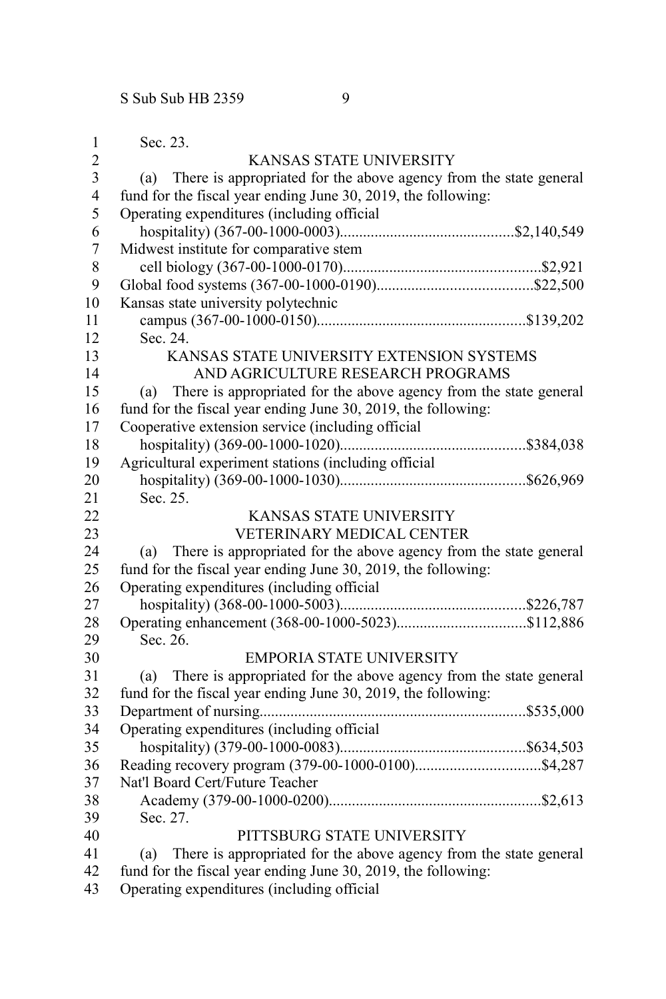| 1                       | Sec. 23.                                                                 |
|-------------------------|--------------------------------------------------------------------------|
| $\overline{2}$          | KANSAS STATE UNIVERSITY                                                  |
| $\overline{\mathbf{3}}$ | There is appropriated for the above agency from the state general<br>(a) |
| $\overline{4}$          | fund for the fiscal year ending June 30, 2019, the following:            |
| 5                       | Operating expenditures (including official                               |
| 6                       |                                                                          |
| $\overline{7}$          | Midwest institute for comparative stem                                   |
| 8                       |                                                                          |
| 9                       |                                                                          |
| 10                      | Kansas state university polytechnic                                      |
| 11                      |                                                                          |
| 12                      | Sec. 24.                                                                 |
| 13                      | KANSAS STATE UNIVERSITY EXTENSION SYSTEMS                                |
| 14                      | AND AGRICULTURE RESEARCH PROGRAMS                                        |
| 15                      | There is appropriated for the above agency from the state general<br>(a) |
| 16                      | fund for the fiscal year ending June 30, 2019, the following:            |
| 17                      | Cooperative extension service (including official                        |
| 18                      |                                                                          |
| 19                      | Agricultural experiment stations (including official                     |
| 20                      |                                                                          |
| 21                      | Sec. 25.                                                                 |
| 22                      | KANSAS STATE UNIVERSITY                                                  |
| 23                      | VETERINARY MEDICAL CENTER                                                |
| 24                      | There is appropriated for the above agency from the state general<br>(a) |
| 25                      | fund for the fiscal year ending June 30, 2019, the following:            |
| 26                      | Operating expenditures (including official                               |
| 27                      |                                                                          |
| 28                      |                                                                          |
| 29                      | Sec. 26.                                                                 |
| 30                      | <b>EMPORIA STATE UNIVERSITY</b>                                          |
| 31                      | There is appropriated for the above agency from the state general<br>(a) |
| 32                      | fund for the fiscal year ending June 30, 2019, the following:            |
| 33                      |                                                                          |
| 34                      | Operating expenditures (including official                               |
| 35                      |                                                                          |
| 36                      |                                                                          |
| 37                      | Nat'l Board Cert/Future Teacher                                          |
| 38                      |                                                                          |
| 39                      | Sec. 27.                                                                 |
| 40                      | PITTSBURG STATE UNIVERSITY                                               |
| 41                      | (a) There is appropriated for the above agency from the state general    |
| 42                      | fund for the fiscal year ending June 30, 2019, the following:            |
| 43                      | Operating expenditures (including official                               |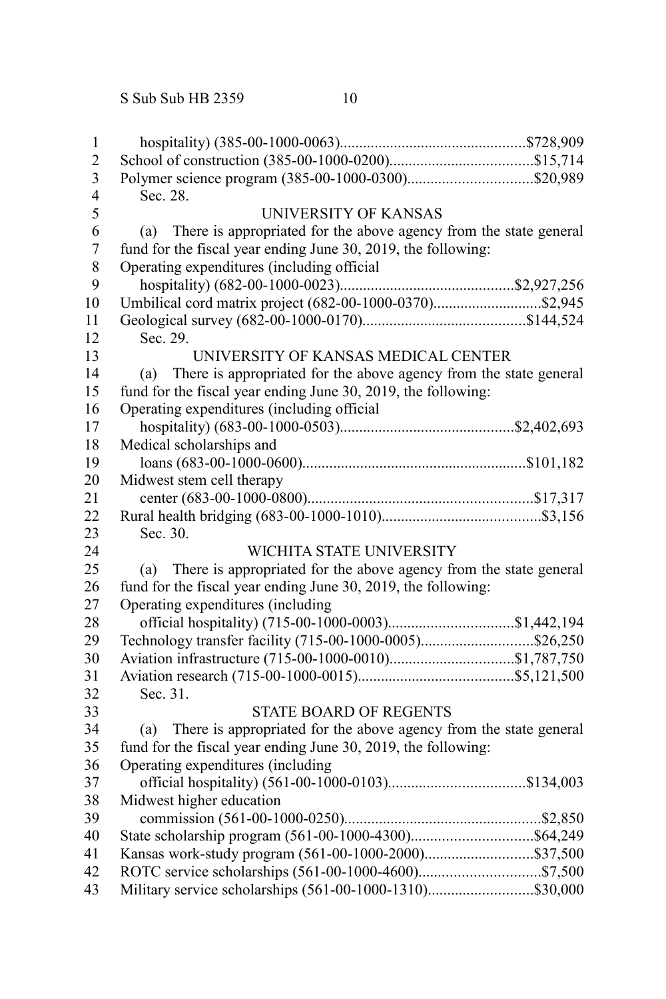S Sub Sub HB 2359 10

| $\mathbf{1}$     |                                                                          |  |
|------------------|--------------------------------------------------------------------------|--|
| $\overline{c}$   |                                                                          |  |
| 3                |                                                                          |  |
| $\overline{4}$   | Sec. 28.                                                                 |  |
| 5                | <b>UNIVERSITY OF KANSAS</b>                                              |  |
| 6                | There is appropriated for the above agency from the state general<br>(a) |  |
| $\boldsymbol{7}$ | fund for the fiscal year ending June 30, 2019, the following:            |  |
| 8                | Operating expenditures (including official                               |  |
| 9                |                                                                          |  |
| 10               | Umbilical cord matrix project (682-00-1000-0370)\$2,945                  |  |
| 11               |                                                                          |  |
| 12               | Sec. 29.                                                                 |  |
| 13               | UNIVERSITY OF KANSAS MEDICAL CENTER                                      |  |
| 14               | There is appropriated for the above agency from the state general<br>(a) |  |
| 15               | fund for the fiscal year ending June 30, 2019, the following:            |  |
| 16               | Operating expenditures (including official                               |  |
| 17               |                                                                          |  |
| 18               | Medical scholarships and                                                 |  |
| 19               |                                                                          |  |
| 20               | Midwest stem cell therapy                                                |  |
| 21               |                                                                          |  |
| 22               |                                                                          |  |
| 23               | Sec. 30.                                                                 |  |
| 24               | WICHITA STATE UNIVERSITY                                                 |  |
| 25               | There is appropriated for the above agency from the state general<br>(a) |  |
| 26               | fund for the fiscal year ending June 30, 2019, the following:            |  |
| 27               | Operating expenditures (including                                        |  |
| 28               |                                                                          |  |
| 29               |                                                                          |  |
| 30               |                                                                          |  |
| 31               |                                                                          |  |
| 32               | Sec. 31.                                                                 |  |
| 33               | <b>STATE BOARD OF REGENTS</b>                                            |  |
| 34               | There is appropriated for the above agency from the state general<br>(a) |  |
| 35               | fund for the fiscal year ending June 30, 2019, the following:            |  |
| 36               | Operating expenditures (including                                        |  |
| 37               |                                                                          |  |
| 38               | Midwest higher education                                                 |  |
| 39               |                                                                          |  |
| 40               |                                                                          |  |
| 41               |                                                                          |  |
| 42               |                                                                          |  |
| 43               | Military service scholarships (561-00-1000-1310)\$30,000                 |  |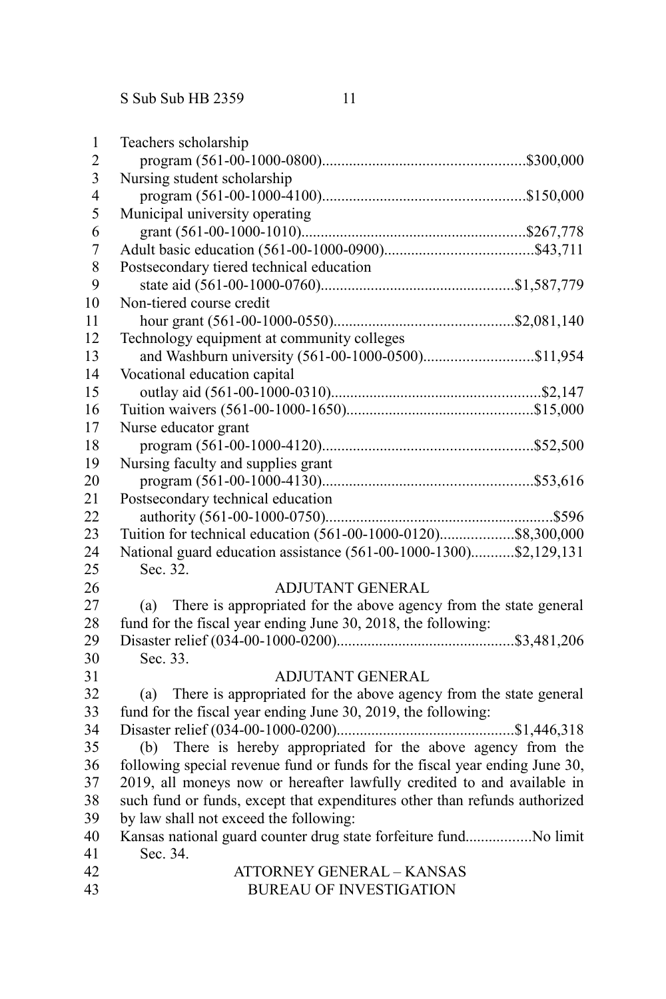| 1                       | Teachers scholarship                                                        |
|-------------------------|-----------------------------------------------------------------------------|
| $\overline{c}$          |                                                                             |
| $\overline{\mathbf{3}}$ | Nursing student scholarship                                                 |
| $\overline{4}$          |                                                                             |
| 5                       | Municipal university operating                                              |
| 6                       |                                                                             |
| $\overline{7}$          |                                                                             |
| 8                       | Postsecondary tiered technical education                                    |
| 9                       |                                                                             |
| 10                      | Non-tiered course credit                                                    |
| 11                      |                                                                             |
| 12                      | Technology equipment at community colleges                                  |
| 13                      |                                                                             |
| 14                      | Vocational education capital                                                |
| 15                      |                                                                             |
| 16                      |                                                                             |
| 17                      | Nurse educator grant                                                        |
| 18                      |                                                                             |
| 19                      | Nursing faculty and supplies grant                                          |
| 20                      |                                                                             |
| 21                      | Postsecondary technical education                                           |
| 22                      |                                                                             |
| 23                      | Tuition for technical education (561-00-1000-0120)\$8,300,000               |
| 24                      | National guard education assistance (561-00-1000-1300)\$2,129,131           |
| 25                      | Sec. 32.                                                                    |
| 26                      | <b>ADJUTANT GENERAL</b>                                                     |
| 27                      | There is appropriated for the above agency from the state general<br>(a)    |
| 28                      | fund for the fiscal year ending June 30, 2018, the following:               |
| 29                      |                                                                             |
| 30                      | Sec. 33.                                                                    |
| 31                      | <b>ADJUTANT GENERAL</b>                                                     |
| 32                      | There is appropriated for the above agency from the state general<br>(a)    |
| 33                      | fund for the fiscal year ending June 30, 2019, the following:               |
| 34                      |                                                                             |
| 35                      | (b) There is hereby appropriated for the above agency from the              |
| 36                      | following special revenue fund or funds for the fiscal year ending June 30, |
| 37                      | 2019, all moneys now or hereafter lawfully credited to and available in     |
| 38                      | such fund or funds, except that expenditures other than refunds authorized  |
| 39                      | by law shall not exceed the following:                                      |
| 40                      | Kansas national guard counter drug state forfeiture fundNo limit            |
| 41                      | Sec. 34.                                                                    |
| 42                      | <b>ATTORNEY GENERAL - KANSAS</b>                                            |
| 43                      | <b>BUREAU OF INVESTIGATION</b>                                              |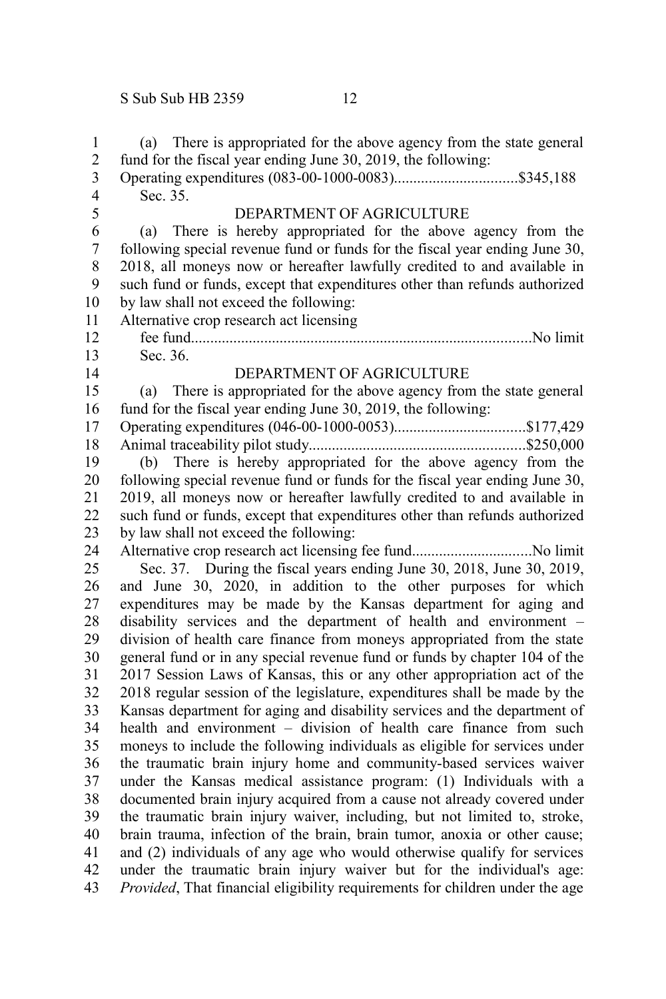(a) There is appropriated for the above agency from the state general fund for the fiscal year ending June 30, 2019, the following: Operating expenditures (083-00-1000-0083)................................\$345,188 Sec. 35. DEPARTMENT OF AGRICULTURE (a) There is hereby appropriated for the above agency from the following special revenue fund or funds for the fiscal year ending June 30, 2018, all moneys now or hereafter lawfully credited to and available in such fund or funds, except that expenditures other than refunds authorized by law shall not exceed the following: Alternative crop research act licensing fee fund........................................................................................No limit Sec. 36. DEPARTMENT OF AGRICULTURE (a) There is appropriated for the above agency from the state general fund for the fiscal year ending June 30, 2019, the following: Operating expenditures (046-00-1000-0053)..................................\$177,429 Animal traceability pilot study........................................................\$250,000 (b) There is hereby appropriated for the above agency from the following special revenue fund or funds for the fiscal year ending June 30, 2019, all moneys now or hereafter lawfully credited to and available in such fund or funds, except that expenditures other than refunds authorized by law shall not exceed the following: Alternative crop research act licensing fee fund...............................No limit Sec. 37. During the fiscal years ending June 30, 2018, June 30, 2019, and June 30, 2020, in addition to the other purposes for which expenditures may be made by the Kansas department for aging and disability services and the department of health and environment – division of health care finance from moneys appropriated from the state general fund or in any special revenue fund or funds by chapter 104 of the 2017 Session Laws of Kansas, this or any other appropriation act of the 2018 regular session of the legislature, expenditures shall be made by the Kansas department for aging and disability services and the department of health and environment – division of health care finance from such moneys to include the following individuals as eligible for services under the traumatic brain injury home and community-based services waiver under the Kansas medical assistance program: (1) Individuals with a documented brain injury acquired from a cause not already covered under the traumatic brain injury waiver, including, but not limited to, stroke, brain trauma, infection of the brain, brain tumor, anoxia or other cause; and (2) individuals of any age who would otherwise qualify for services under the traumatic brain injury waiver but for the individual's age: *Provided*, That financial eligibility requirements for children under the age 1 2 3 4 5 6 7 8 9 10 11 12 13 14 15 16 17 18 19 20 21 22 23 24 25 26 27 28 29 30 31 32 33 34 35 36 37 38 39 40 41 42 43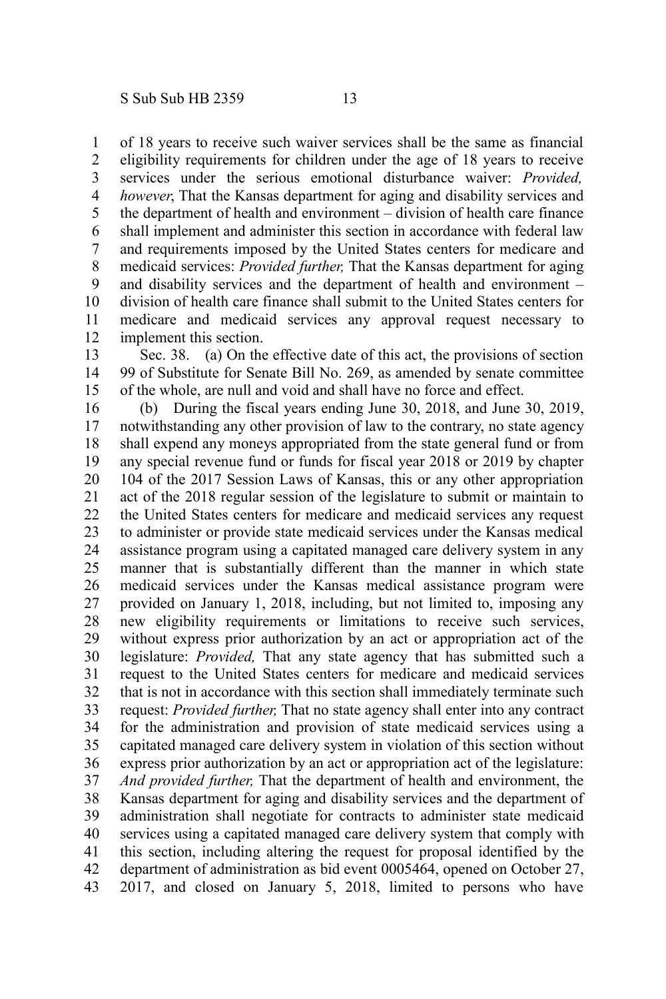of 18 years to receive such waiver services shall be the same as financial eligibility requirements for children under the age of 18 years to receive services under the serious emotional disturbance waiver: *Provided, however*, That the Kansas department for aging and disability services and the department of health and environment – division of health care finance shall implement and administer this section in accordance with federal law and requirements imposed by the United States centers for medicare and medicaid services: *Provided further,* That the Kansas department for aging and disability services and the department of health and environment – division of health care finance shall submit to the United States centers for medicare and medicaid services any approval request necessary to implement this section. 1 2 3 4 5 6 7 8 9 10 11 12

Sec. 38. (a) On the effective date of this act, the provisions of section 99 of Substitute for Senate Bill No. 269, as amended by senate committee of the whole, are null and void and shall have no force and effect. 13 14 15

(b) During the fiscal years ending June 30, 2018, and June 30, 2019, notwithstanding any other provision of law to the contrary, no state agency shall expend any moneys appropriated from the state general fund or from any special revenue fund or funds for fiscal year 2018 or 2019 by chapter 104 of the 2017 Session Laws of Kansas, this or any other appropriation act of the 2018 regular session of the legislature to submit or maintain to the United States centers for medicare and medicaid services any request to administer or provide state medicaid services under the Kansas medical assistance program using a capitated managed care delivery system in any manner that is substantially different than the manner in which state medicaid services under the Kansas medical assistance program were provided on January 1, 2018, including, but not limited to, imposing any new eligibility requirements or limitations to receive such services, without express prior authorization by an act or appropriation act of the legislature: *Provided,* That any state agency that has submitted such a request to the United States centers for medicare and medicaid services that is not in accordance with this section shall immediately terminate such request: *Provided further,* That no state agency shall enter into any contract for the administration and provision of state medicaid services using a capitated managed care delivery system in violation of this section without express prior authorization by an act or appropriation act of the legislature: *And provided further,* That the department of health and environment, the Kansas department for aging and disability services and the department of administration shall negotiate for contracts to administer state medicaid services using a capitated managed care delivery system that comply with this section, including altering the request for proposal identified by the department of administration as bid event 0005464, opened on October 27, 2017, and closed on January 5, 2018, limited to persons who have 16 17 18 19 20 21 22 23 24 25 26 27 28 29 30 31 32 33 34 35 36 37 38 39 40 41 42 43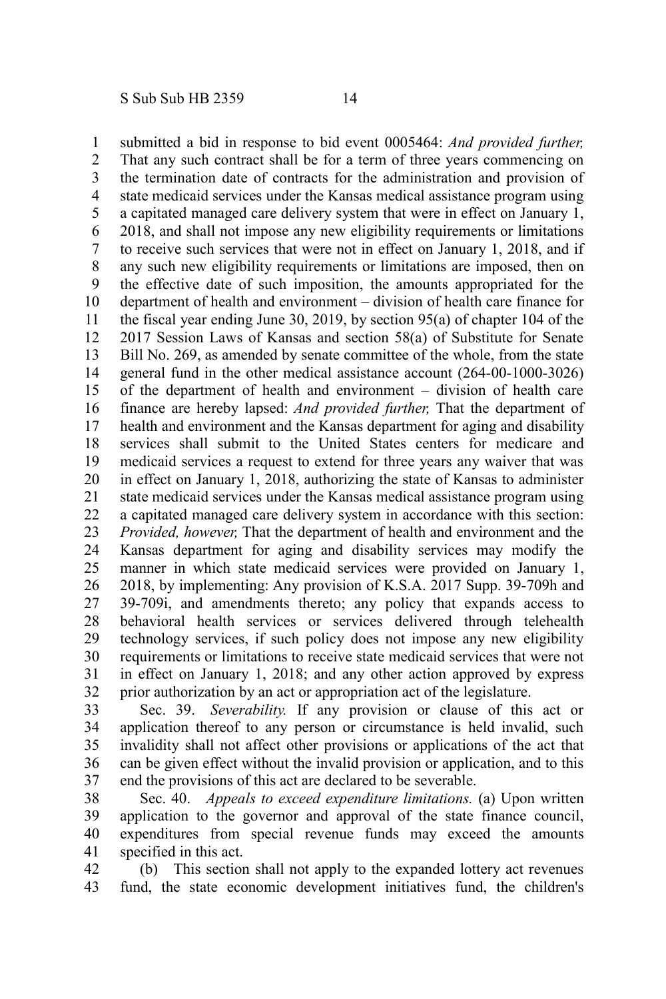submitted a bid in response to bid event 0005464: *And provided further,* That any such contract shall be for a term of three years commencing on the termination date of contracts for the administration and provision of state medicaid services under the Kansas medical assistance program using a capitated managed care delivery system that were in effect on January 1, 2018, and shall not impose any new eligibility requirements or limitations to receive such services that were not in effect on January 1, 2018, and if any such new eligibility requirements or limitations are imposed, then on the effective date of such imposition, the amounts appropriated for the department of health and environment – division of health care finance for the fiscal year ending June 30, 2019, by section 95(a) of chapter 104 of the 2017 Session Laws of Kansas and section 58(a) of Substitute for Senate Bill No. 269, as amended by senate committee of the whole, from the state general fund in the other medical assistance account (264-00-1000-3026) of the department of health and environment – division of health care finance are hereby lapsed: *And provided further,* That the department of health and environment and the Kansas department for aging and disability services shall submit to the United States centers for medicare and medicaid services a request to extend for three years any waiver that was in effect on January 1, 2018, authorizing the state of Kansas to administer state medicaid services under the Kansas medical assistance program using a capitated managed care delivery system in accordance with this section: *Provided, however,* That the department of health and environment and the Kansas department for aging and disability services may modify the manner in which state medicaid services were provided on January 1, 2018, by implementing: Any provision of K.S.A. 2017 Supp. 39-709h and 39-709i, and amendments thereto; any policy that expands access to behavioral health services or services delivered through telehealth technology services, if such policy does not impose any new eligibility requirements or limitations to receive state medicaid services that were not in effect on January 1, 2018; and any other action approved by express prior authorization by an act or appropriation act of the legislature. 1 2 3 4 5 6 7 8 9 10 11 12 13 14 15 16 17 18 19 20 21 22 23 24 25 26 27 28 29 30 31 32

Sec. 39. *Severability.* If any provision or clause of this act or application thereof to any person or circumstance is held invalid, such invalidity shall not affect other provisions or applications of the act that can be given effect without the invalid provision or application, and to this end the provisions of this act are declared to be severable. 33 34 35 36 37

Sec. 40. *Appeals to exceed expenditure limitations.* (a) Upon written application to the governor and approval of the state finance council, expenditures from special revenue funds may exceed the amounts specified in this act. 38 39 40 41

(b) This section shall not apply to the expanded lottery act revenues fund, the state economic development initiatives fund, the children's 42 43